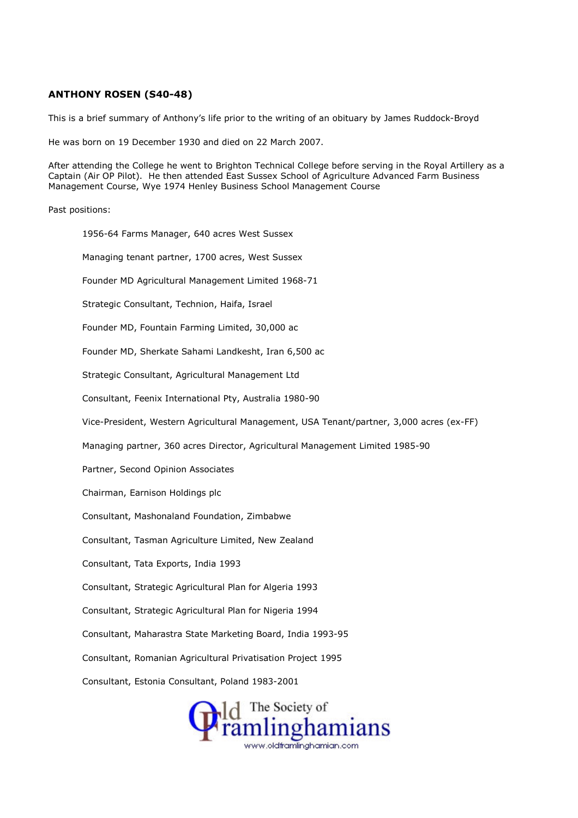## ANTHONY ROSEN (S40-48)

This is a brief summary of Anthony's life prior to the writing of an obituary by James Ruddock-Broyd

He was born on 19 December 1930 and died on 22 March 2007.

After attending the College he went to Brighton Technical College before serving in the Royal Artillery as a Captain (Air OP Pilot). He then attended East Sussex School of Agriculture Advanced Farm Business Management Course, Wye 1974 Henley Business School Management Course

Past positions:

1956-64 Farms Manager, 640 acres West Sussex Managing tenant partner, 1700 acres, West Sussex Founder MD Agricultural Management Limited 1968-71 Strategic Consultant, Technion, Haifa, Israel Founder MD, Fountain Farming Limited, 30,000 ac Founder MD, Sherkate Sahami Landkesht, Iran 6,500 ac Strategic Consultant, Agricultural Management Ltd Consultant, Feenix International Pty, Australia 1980-90 Vice-President, Western Agricultural Management, USA Tenant/partner, 3,000 acres (ex-FF) Managing partner, 360 acres Director, Agricultural Management Limited 1985-90 Partner, Second Opinion Associates Chairman, Earnison Holdings plc Consultant, Mashonaland Foundation, Zimbabwe Consultant, Tasman Agriculture Limited, New Zealand Consultant, Tata Exports, India 1993 Consultant, Strategic Agricultural Plan for Algeria 1993 Consultant, Strategic Agricultural Plan for Nigeria 1994 Consultant, Maharastra State Marketing Board, India 1993-95 Consultant, Romanian Agricultural Privatisation Project 1995 Consultant, Estonia Consultant, Poland 1983-2001